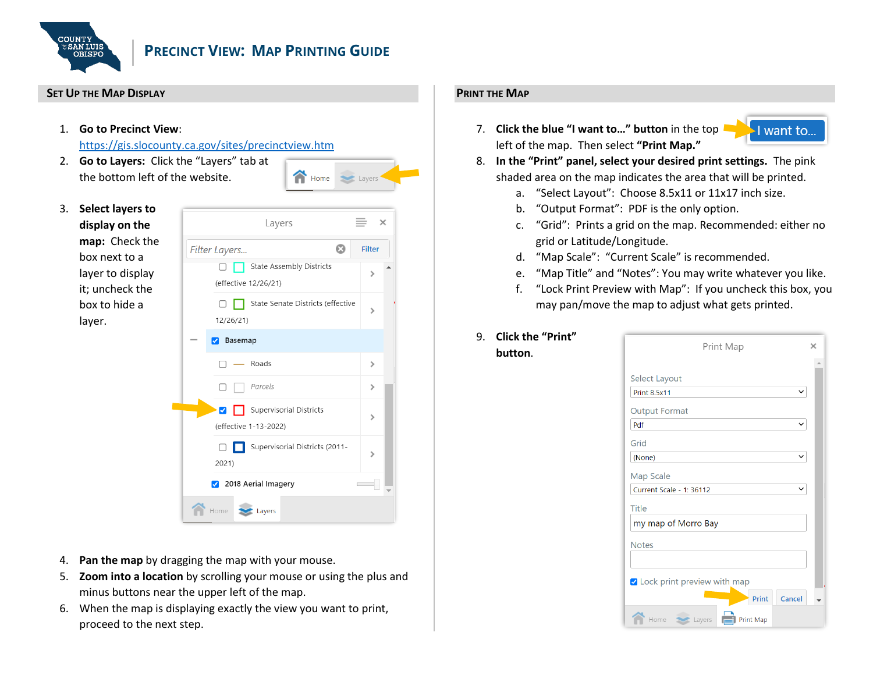

# **PRECINCT VIEW: MAP PRINTING GUIDE**

#### **SET UP THE MAP DISPLAY**

1. **Go to Precinct View**:

<https://gis.slocounty.ca.gov/sites/precinctview.htm>

2. **Go to Layers:** Click the "Layers" tab at the bottom left of the website.



3. **Select layers to display on the map:** Check the box next to a layer to display it; uncheck the box to hide a layer.



- 4. **Pan the map** by dragging the map with your mouse.
- 5. **Zoom into a location** by scrolling your mouse or using the plus and minus buttons near the upper left of the map.
- 6. When the map is displaying exactly the view you want to print, proceed to the next step.

# **PRINT THE MAP**

7. **Click the blue "I want to…" button** in the top left of the map. Then select **"Print Map."**



- 8. **In the "Print" panel, select your desired print settings.** The pink shaded area on the map indicates the area that will be printed.
	- a. "Select Layout": Choose 8.5x11 or 11x17 inch size.
	- b. "Output Format": PDF is the only option.
	- c. "Grid": Prints a grid on the map. Recommended: either no grid or Latitude/Longitude.
	- d. "Map Scale": "Current Scale" is recommended.
	- e. "Map Title" and "Notes": You may write whatever you like.
	- f. "Lock Print Preview with Map": If you uncheck this box, you may pan/move the map to adjust what gets printed.

## 9. **Click the "Print" button**.

| Print Map                          | × |
|------------------------------------|---|
|                                    |   |
| Select Layout                      |   |
| <b>Print 8.5x11</b><br>$\check{ }$ |   |
| <b>Output Format</b>               |   |
| Pdf                                |   |
| Grid                               |   |
| (None)<br>$\check{ }$              |   |
| Map Scale                          |   |
| Current Scale - 1: 36112           |   |
| Title                              |   |
| my map of Morro Bay                |   |
| <b>Notes</b>                       |   |
|                                    |   |
|                                    |   |
| ✔ Lock print preview with map      |   |
| Print<br>Cancel                    |   |
| <b>Print Map</b><br>Home<br>Layers |   |